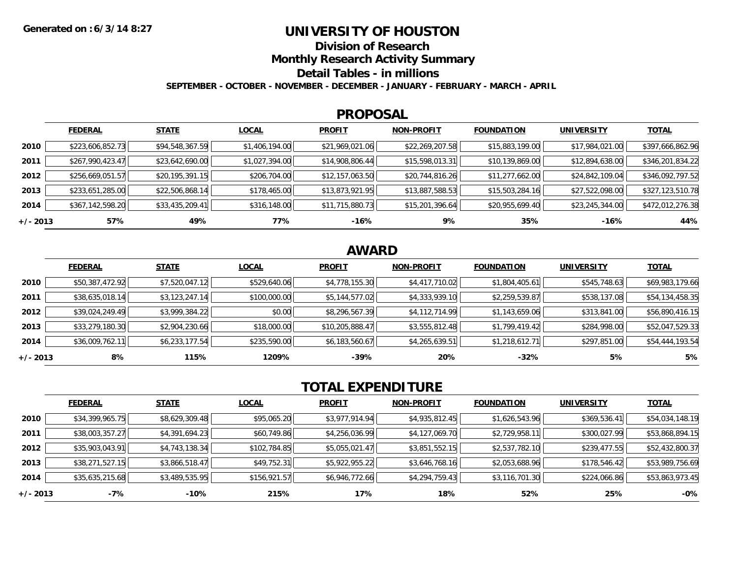## **UNIVERSITY OF HOUSTON**

**Division of Research**

**Monthly Research Activity Summary**

**Detail Tables - in millions**

**SEPTEMBER - OCTOBER - NOVEMBER - DECEMBER - JANUARY - FEBRUARY - MARCH - APRIL**

#### **PROPOSAL**

|            | <b>FEDERAL</b>   | <b>STATE</b>    | <b>LOCAL</b>   | <b>PROFIT</b>   | <b>NON-PROFIT</b> | <b>FOUNDATION</b> | <b>UNIVERSITY</b> | <b>TOTAL</b>     |
|------------|------------------|-----------------|----------------|-----------------|-------------------|-------------------|-------------------|------------------|
| 2010       | \$223,606,852.73 | \$94,548,367.59 | \$1,406,194.00 | \$21,969,021.06 | \$22,269,207.58   | \$15,883,199.00   | \$17,984,021.00   | \$397,666,862.96 |
| 2011       | \$267,990,423.47 | \$23,642,690.00 | \$1,027,394.00 | \$14,908,806.44 | \$15,598,013.31   | \$10,139,869.00   | \$12,894,638.00   | \$346,201,834.22 |
| 2012       | \$256,669,051.57 | \$20,195,391.15 | \$206,704.00   | \$12,157,063.50 | \$20,744,816.26   | \$11,277,662.00   | \$24,842,109.04   | \$346,092,797.52 |
| 2013       | \$233,651,285.00 | \$22,506,868.14 | \$178,465.00   | \$13,873,921.95 | \$13,887,588.53   | \$15,503,284.16   | \$27,522,098.00   | \$327,123,510.78 |
| 2014       | \$367,142,598.20 | \$33,435,209.41 | \$316,148.00   | \$11,715,880.73 | \$15,201,396.64   | \$20,955,699.40   | \$23,245,344.00   | \$472,012,276.38 |
| $+/- 2013$ | 57%              | 49%             | 77%            | $-16%$          | 9%                | 35%               | $-16%$            | 44%              |

# **AWARD**

|            | <b>FEDERAL</b>  | <b>STATE</b>   | <b>LOCAL</b> | <b>PROFIT</b>   | <b>NON-PROFIT</b> | <b>FOUNDATION</b> | <b>UNIVERSITY</b> | <b>TOTAL</b>    |
|------------|-----------------|----------------|--------------|-----------------|-------------------|-------------------|-------------------|-----------------|
| 2010       | \$50,387,472.92 | \$7,520,047.12 | \$529,640.06 | \$4,778,155.30  | \$4,417,710.02    | \$1,804,405.61    | \$545,748.63      | \$69,983,179.66 |
| 2011       | \$38,635,018.14 | \$3,123,247.14 | \$100,000.00 | \$5,144,577.02  | \$4,333,939.10    | \$2,259,539.87    | \$538,137.08      | \$54,134,458.35 |
| 2012       | \$39,024,249.49 | \$3,999,384.22 | \$0.00       | \$8,296,567.39  | \$4,112,714.99    | \$1,143,659.06    | \$313,841.00      | \$56,890,416.15 |
| 2013       | \$33,279,180.30 | \$2,904,230.66 | \$18,000.00  | \$10,205,888.47 | \$3,555,812.48    | \$1,799,419.42    | \$284,998.00      | \$52,047,529.33 |
| 2014       | \$36,009,762.11 | \$6,233,177.54 | \$235,590.00 | \$6,183,560.67  | \$4,265,639.51    | \$1,218,612.71    | \$297,851.00      | \$54,444,193.54 |
| $+/- 2013$ | 8%              | 115%           | 1209%        | $-39%$          | 20%               | $-32%$            | 5%                | 5%              |

# **TOTAL EXPENDITURE**

|            | <b>FEDERAL</b>  | <b>STATE</b>   | <b>LOCAL</b> | <b>PROFIT</b>  | <b>NON-PROFIT</b> | <b>FOUNDATION</b> | <b>UNIVERSITY</b> | <b>TOTAL</b>    |
|------------|-----------------|----------------|--------------|----------------|-------------------|-------------------|-------------------|-----------------|
| 2010       | \$34,399,965.75 | \$8,629,309.48 | \$95,065.20  | \$3,977,914.94 | \$4,935,812.45    | \$1,626,543.96    | \$369,536.41      | \$54,034,148.19 |
| 2011       | \$38,003,357.27 | \$4,391,694.23 | \$60,749.86  | \$4,256,036.99 | \$4,127,069.70    | \$2,729,958.11    | \$300,027.99      | \$53,868,894.15 |
| 2012       | \$35,903,043.91 | \$4,743,138.34 | \$102,784.85 | \$5,055,021.47 | \$3,851,552.15    | \$2,537,782.10    | \$239,477.55      | \$52,432,800.37 |
| 2013       | \$38,271,527.15 | \$3,866,518.47 | \$49,752.31  | \$5,922,955.22 | \$3,646,768.16    | \$2,053,688.96    | \$178,546.42      | \$53,989,756.69 |
| 2014       | \$35,635,215.68 | \$3,489,535.95 | \$156,921.57 | \$6,946,772.66 | \$4,294,759.43    | \$3,116,701.30    | \$224,066.86      | \$53,863,973.45 |
| $+/- 2013$ | -7%             | $-10%$         | 215%         | 17%            | 18%               | 52%               | 25%               | $-0\%$          |